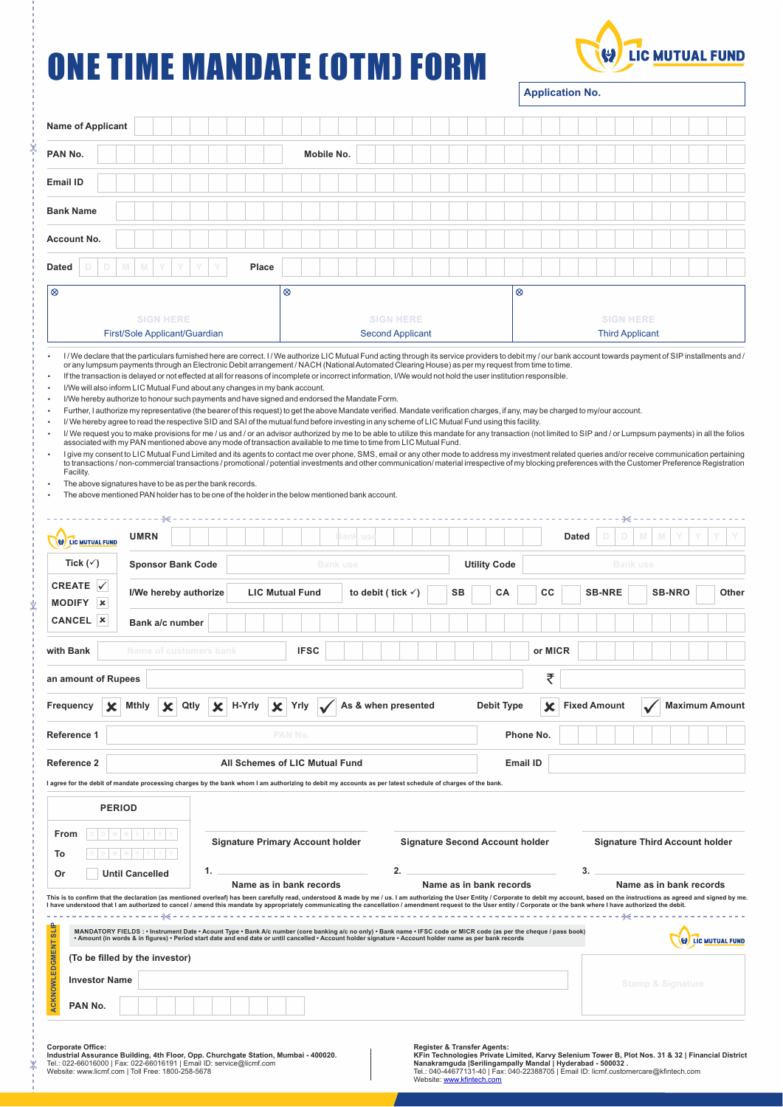## ONE TIME MANDATE (OTM) FORM

ķ

Ý

⋇



**Application No.**

| PAN No.<br><b>Email ID</b><br><b>Bank Name</b><br>Account No.<br><b>Dated</b><br>M<br>D<br>D<br>$\otimes$<br>First/Sole Applicant/Guardian<br>I/We declare that the particulars furnished here are correct. I/We authorize LIC Mutual Fund acting through its service providers to debit my / our bank account towards payment of SIP installments and /<br>or any lumpsum payments through an Electronic Debit arrangement / NACH (National Automated Clearing House) as per my request from time to time.<br>If the transaction is delayed or not effected at all for reasons of incomplete or incorrect information, I/We would not hold the user institution responsible.<br>I/We will also inform LIC Mutual Fund about any changes in my bank account.<br>I/We hereby authorize to honour such payments and have signed and endorsed the Mandate Form.<br>Further, I authorize my representative (the bearer of this request) to get the above Mandate verified. Mandate verification charges, if any, may be charged to my/our account.<br>I/We hereby agree to read the respective SID and SAI of the mutual fund before investing in any scheme of LIC Mutual Fund using this facility.<br>I/ We request you to make provisions for me / us and / or an advisor authorized by me to be able to utilize this mandate for any transaction (not limited to SIP and / or Lumpsum payments) in all the folios<br>associated with my PAN mentioned above any mode of transaction available to me time to time from LIC Mutual Fund.<br>I give my consent to LIC Mutual Fund Limited and its agents to contact me over phone, SMS, email or any other mode to address my investment related queries and/or receive communication pertaining<br>to transactions / non-commercial transactions / promotional / potential investments and other communication/ material irrespective of my blocking preferences with the Customer Preference Registration<br>Facility.<br>The above signatures have to be as per the bank records.<br>The above mentioned PAN holder has to be one of the holder in the below mentioned bank account.<br>LIC MUTUAL FUND<br>Tick $(\checkmark)$<br>CREATE $  \checkmark  $<br><b>MODIFY</b><br>×<br>CANCEL   x<br>with Bank<br>an amount of Rupees<br>Frequency<br>Reference 1<br><b>Reference 2</b><br>I agree for the debit of mandate processing charges by the bank whom I am authorizing to debit my accounts as per latest schedule of charges of the bank. | M<br><b>SIGN HERE</b><br>--- ÷∈<br><b>UMRN</b> |  |  |    |                                         | Place | $\otimes$       |                                                         | Mobile No. |     |                     | <b>SIGN HERE</b><br><b>Second Applicant</b> |    |                                        |                         |  |            | $^{\circ}$ |               |                 |                        |    |                                            |  |  |  |                                       |  |  |  |
|--------------------------------------------------------------------------------------------------------------------------------------------------------------------------------------------------------------------------------------------------------------------------------------------------------------------------------------------------------------------------------------------------------------------------------------------------------------------------------------------------------------------------------------------------------------------------------------------------------------------------------------------------------------------------------------------------------------------------------------------------------------------------------------------------------------------------------------------------------------------------------------------------------------------------------------------------------------------------------------------------------------------------------------------------------------------------------------------------------------------------------------------------------------------------------------------------------------------------------------------------------------------------------------------------------------------------------------------------------------------------------------------------------------------------------------------------------------------------------------------------------------------------------------------------------------------------------------------------------------------------------------------------------------------------------------------------------------------------------------------------------------------------------------------------------------------------------------------------------------------------------------------------------------------------------------------------------------------------------------------------------------------------------------------------------------------------------------------------------------------------------------------------------------------------------------------------------------------------------------------------------------------------------------------------------------------------------------------------------------------------------------------------------------------------------------------------------------------------------------------------|------------------------------------------------|--|--|----|-----------------------------------------|-------|-----------------|---------------------------------------------------------|------------|-----|---------------------|---------------------------------------------|----|----------------------------------------|-------------------------|--|------------|------------|---------------|-----------------|------------------------|----|--------------------------------------------|--|--|--|---------------------------------------|--|--|--|
|                                                                                                                                                                                                                                                                                                                                                                                                                                                                                                                                                                                                                                                                                                                                                                                                                                                                                                                                                                                                                                                                                                                                                                                                                                                                                                                                                                                                                                                                                                                                                                                                                                                                                                                                                                                                                                                                                                                                                                                                                                                                                                                                                                                                                                                                                                                                                                                                                                                                                                  |                                                |  |  |    |                                         |       |                 |                                                         |            |     |                     |                                             |    |                                        |                         |  |            |            |               |                 |                        |    |                                            |  |  |  |                                       |  |  |  |
|                                                                                                                                                                                                                                                                                                                                                                                                                                                                                                                                                                                                                                                                                                                                                                                                                                                                                                                                                                                                                                                                                                                                                                                                                                                                                                                                                                                                                                                                                                                                                                                                                                                                                                                                                                                                                                                                                                                                                                                                                                                                                                                                                                                                                                                                                                                                                                                                                                                                                                  |                                                |  |  |    |                                         |       |                 |                                                         |            |     |                     |                                             |    |                                        |                         |  |            |            |               |                 |                        |    |                                            |  |  |  |                                       |  |  |  |
|                                                                                                                                                                                                                                                                                                                                                                                                                                                                                                                                                                                                                                                                                                                                                                                                                                                                                                                                                                                                                                                                                                                                                                                                                                                                                                                                                                                                                                                                                                                                                                                                                                                                                                                                                                                                                                                                                                                                                                                                                                                                                                                                                                                                                                                                                                                                                                                                                                                                                                  |                                                |  |  |    |                                         |       |                 |                                                         |            |     |                     |                                             |    |                                        |                         |  |            |            |               |                 |                        |    |                                            |  |  |  |                                       |  |  |  |
|                                                                                                                                                                                                                                                                                                                                                                                                                                                                                                                                                                                                                                                                                                                                                                                                                                                                                                                                                                                                                                                                                                                                                                                                                                                                                                                                                                                                                                                                                                                                                                                                                                                                                                                                                                                                                                                                                                                                                                                                                                                                                                                                                                                                                                                                                                                                                                                                                                                                                                  |                                                |  |  |    |                                         |       |                 |                                                         |            |     |                     |                                             |    |                                        |                         |  |            |            |               |                 |                        |    |                                            |  |  |  |                                       |  |  |  |
|                                                                                                                                                                                                                                                                                                                                                                                                                                                                                                                                                                                                                                                                                                                                                                                                                                                                                                                                                                                                                                                                                                                                                                                                                                                                                                                                                                                                                                                                                                                                                                                                                                                                                                                                                                                                                                                                                                                                                                                                                                                                                                                                                                                                                                                                                                                                                                                                                                                                                                  |                                                |  |  |    |                                         |       |                 |                                                         |            |     |                     |                                             |    |                                        |                         |  |            |            |               |                 |                        |    |                                            |  |  |  |                                       |  |  |  |
|                                                                                                                                                                                                                                                                                                                                                                                                                                                                                                                                                                                                                                                                                                                                                                                                                                                                                                                                                                                                                                                                                                                                                                                                                                                                                                                                                                                                                                                                                                                                                                                                                                                                                                                                                                                                                                                                                                                                                                                                                                                                                                                                                                                                                                                                                                                                                                                                                                                                                                  |                                                |  |  |    |                                         |       |                 |                                                         |            |     |                     |                                             |    |                                        |                         |  |            |            |               |                 |                        |    |                                            |  |  |  |                                       |  |  |  |
|                                                                                                                                                                                                                                                                                                                                                                                                                                                                                                                                                                                                                                                                                                                                                                                                                                                                                                                                                                                                                                                                                                                                                                                                                                                                                                                                                                                                                                                                                                                                                                                                                                                                                                                                                                                                                                                                                                                                                                                                                                                                                                                                                                                                                                                                                                                                                                                                                                                                                                  |                                                |  |  |    |                                         |       |                 |                                                         |            |     |                     |                                             |    |                                        |                         |  |            |            |               |                 |                        |    |                                            |  |  |  |                                       |  |  |  |
|                                                                                                                                                                                                                                                                                                                                                                                                                                                                                                                                                                                                                                                                                                                                                                                                                                                                                                                                                                                                                                                                                                                                                                                                                                                                                                                                                                                                                                                                                                                                                                                                                                                                                                                                                                                                                                                                                                                                                                                                                                                                                                                                                                                                                                                                                                                                                                                                                                                                                                  |                                                |  |  |    |                                         |       |                 |                                                         |            |     |                     |                                             |    |                                        |                         |  |            |            |               |                 |                        |    | <b>SIGN HERE</b><br><b>Third Applicant</b> |  |  |  |                                       |  |  |  |
|                                                                                                                                                                                                                                                                                                                                                                                                                                                                                                                                                                                                                                                                                                                                                                                                                                                                                                                                                                                                                                                                                                                                                                                                                                                                                                                                                                                                                                                                                                                                                                                                                                                                                                                                                                                                                                                                                                                                                                                                                                                                                                                                                                                                                                                                                                                                                                                                                                                                                                  |                                                |  |  |    |                                         |       |                 |                                                         |            |     |                     |                                             |    |                                        |                         |  |            |            |               |                 |                        |    |                                            |  |  |  |                                       |  |  |  |
|                                                                                                                                                                                                                                                                                                                                                                                                                                                                                                                                                                                                                                                                                                                                                                                                                                                                                                                                                                                                                                                                                                                                                                                                                                                                                                                                                                                                                                                                                                                                                                                                                                                                                                                                                                                                                                                                                                                                                                                                                                                                                                                                                                                                                                                                                                                                                                                                                                                                                                  |                                                |  |  |    |                                         |       |                 |                                                         |            | ani |                     |                                             |    |                                        |                         |  |            |            |               |                 | <b>Dated</b>           |    |                                            |  |  |  |                                       |  |  |  |
|                                                                                                                                                                                                                                                                                                                                                                                                                                                                                                                                                                                                                                                                                                                                                                                                                                                                                                                                                                                                                                                                                                                                                                                                                                                                                                                                                                                                                                                                                                                                                                                                                                                                                                                                                                                                                                                                                                                                                                                                                                                                                                                                                                                                                                                                                                                                                                                                                                                                                                  | <b>Sponsor Bank Code</b>                       |  |  |    |                                         |       | <b>Bank use</b> |                                                         |            |     |                     |                                             |    | <b>Utility Code</b>                    |                         |  |            |            |               | <b>Bank use</b> |                        |    |                                            |  |  |  |                                       |  |  |  |
|                                                                                                                                                                                                                                                                                                                                                                                                                                                                                                                                                                                                                                                                                                                                                                                                                                                                                                                                                                                                                                                                                                                                                                                                                                                                                                                                                                                                                                                                                                                                                                                                                                                                                                                                                                                                                                                                                                                                                                                                                                                                                                                                                                                                                                                                                                                                                                                                                                                                                                  |                                                |  |  |    |                                         |       |                 |                                                         |            |     |                     |                                             | SB |                                        |                         |  | СA         |            |               |                 | <b>SB-NRO</b><br>Other |    |                                            |  |  |  |                                       |  |  |  |
|                                                                                                                                                                                                                                                                                                                                                                                                                                                                                                                                                                                                                                                                                                                                                                                                                                                                                                                                                                                                                                                                                                                                                                                                                                                                                                                                                                                                                                                                                                                                                                                                                                                                                                                                                                                                                                                                                                                                                                                                                                                                                                                                                                                                                                                                                                                                                                                                                                                                                                  | I/We hereby authorize                          |  |  |    |                                         |       |                 | <b>LIC Mutual Fund</b><br>to debit (tick $\checkmark$ ) |            |     |                     |                                             |    |                                        |                         |  | cc         |            | <b>SB-NRE</b> |                 |                        |    |                                            |  |  |  |                                       |  |  |  |
|                                                                                                                                                                                                                                                                                                                                                                                                                                                                                                                                                                                                                                                                                                                                                                                                                                                                                                                                                                                                                                                                                                                                                                                                                                                                                                                                                                                                                                                                                                                                                                                                                                                                                                                                                                                                                                                                                                                                                                                                                                                                                                                                                                                                                                                                                                                                                                                                                                                                                                  | Bank a/c number                                |  |  |    |                                         |       |                 |                                                         |            |     |                     |                                             |    |                                        |                         |  |            |            |               |                 |                        |    |                                            |  |  |  |                                       |  |  |  |
|                                                                                                                                                                                                                                                                                                                                                                                                                                                                                                                                                                                                                                                                                                                                                                                                                                                                                                                                                                                                                                                                                                                                                                                                                                                                                                                                                                                                                                                                                                                                                                                                                                                                                                                                                                                                                                                                                                                                                                                                                                                                                                                                                                                                                                                                                                                                                                                                                                                                                                  | Name of customers bank                         |  |  |    |                                         |       |                 | <b>IFSC</b>                                             |            |     |                     |                                             |    |                                        |                         |  |            |            | or MICR       |                 |                        |    |                                            |  |  |  |                                       |  |  |  |
|                                                                                                                                                                                                                                                                                                                                                                                                                                                                                                                                                                                                                                                                                                                                                                                                                                                                                                                                                                                                                                                                                                                                                                                                                                                                                                                                                                                                                                                                                                                                                                                                                                                                                                                                                                                                                                                                                                                                                                                                                                                                                                                                                                                                                                                                                                                                                                                                                                                                                                  |                                                |  |  |    |                                         |       |                 |                                                         |            |     |                     |                                             |    |                                        |                         |  |            |            |               | ₹               |                        |    |                                            |  |  |  |                                       |  |  |  |
|                                                                                                                                                                                                                                                                                                                                                                                                                                                                                                                                                                                                                                                                                                                                                                                                                                                                                                                                                                                                                                                                                                                                                                                                                                                                                                                                                                                                                                                                                                                                                                                                                                                                                                                                                                                                                                                                                                                                                                                                                                                                                                                                                                                                                                                                                                                                                                                                                                                                                                  | Mthiy                                          |  |  |    |                                         |       |                 | Yrly                                                    |            |     | As & when presented |                                             |    |                                        |                         |  | Debit Type |            |               |                 |                        |    | <b>Fixed Amount</b>                        |  |  |  | <b>Maximum Amount</b>                 |  |  |  |
|                                                                                                                                                                                                                                                                                                                                                                                                                                                                                                                                                                                                                                                                                                                                                                                                                                                                                                                                                                                                                                                                                                                                                                                                                                                                                                                                                                                                                                                                                                                                                                                                                                                                                                                                                                                                                                                                                                                                                                                                                                                                                                                                                                                                                                                                                                                                                                                                                                                                                                  |                                                |  |  |    |                                         |       | PAN No.         |                                                         |            |     |                     |                                             |    |                                        |                         |  |            |            | Phone No.     |                 |                        |    |                                            |  |  |  |                                       |  |  |  |
|                                                                                                                                                                                                                                                                                                                                                                                                                                                                                                                                                                                                                                                                                                                                                                                                                                                                                                                                                                                                                                                                                                                                                                                                                                                                                                                                                                                                                                                                                                                                                                                                                                                                                                                                                                                                                                                                                                                                                                                                                                                                                                                                                                                                                                                                                                                                                                                                                                                                                                  |                                                |  |  |    |                                         |       |                 | All Schemes of LIC Mutual Fund                          |            |     |                     |                                             |    |                                        |                         |  |            | Email ID   |               |                 |                        |    |                                            |  |  |  |                                       |  |  |  |
|                                                                                                                                                                                                                                                                                                                                                                                                                                                                                                                                                                                                                                                                                                                                                                                                                                                                                                                                                                                                                                                                                                                                                                                                                                                                                                                                                                                                                                                                                                                                                                                                                                                                                                                                                                                                                                                                                                                                                                                                                                                                                                                                                                                                                                                                                                                                                                                                                                                                                                  |                                                |  |  |    |                                         |       |                 |                                                         |            |     |                     |                                             |    |                                        |                         |  |            |            |               |                 |                        |    |                                            |  |  |  |                                       |  |  |  |
| <b>PERIOD</b>                                                                                                                                                                                                                                                                                                                                                                                                                                                                                                                                                                                                                                                                                                                                                                                                                                                                                                                                                                                                                                                                                                                                                                                                                                                                                                                                                                                                                                                                                                                                                                                                                                                                                                                                                                                                                                                                                                                                                                                                                                                                                                                                                                                                                                                                                                                                                                                                                                                                                    |                                                |  |  |    |                                         |       |                 |                                                         |            |     |                     |                                             |    |                                        |                         |  |            |            |               |                 |                        |    |                                            |  |  |  |                                       |  |  |  |
| From                                                                                                                                                                                                                                                                                                                                                                                                                                                                                                                                                                                                                                                                                                                                                                                                                                                                                                                                                                                                                                                                                                                                                                                                                                                                                                                                                                                                                                                                                                                                                                                                                                                                                                                                                                                                                                                                                                                                                                                                                                                                                                                                                                                                                                                                                                                                                                                                                                                                                             |                                                |  |  |    | <b>Signature Primary Account holder</b> |       |                 |                                                         |            |     |                     |                                             |    | <b>Signature Second Account holder</b> |                         |  |            |            |               |                 |                        |    |                                            |  |  |  | <b>Signature Third Account holder</b> |  |  |  |
| То                                                                                                                                                                                                                                                                                                                                                                                                                                                                                                                                                                                                                                                                                                                                                                                                                                                                                                                                                                                                                                                                                                                                                                                                                                                                                                                                                                                                                                                                                                                                                                                                                                                                                                                                                                                                                                                                                                                                                                                                                                                                                                                                                                                                                                                                                                                                                                                                                                                                                               |                                                |  |  |    |                                         |       |                 |                                                         |            |     |                     |                                             |    |                                        |                         |  |            |            |               |                 |                        |    |                                            |  |  |  |                                       |  |  |  |
| Until Cancelled<br>Οr                                                                                                                                                                                                                                                                                                                                                                                                                                                                                                                                                                                                                                                                                                                                                                                                                                                                                                                                                                                                                                                                                                                                                                                                                                                                                                                                                                                                                                                                                                                                                                                                                                                                                                                                                                                                                                                                                                                                                                                                                                                                                                                                                                                                                                                                                                                                                                                                                                                                            |                                                |  |  | 1. | Name as in bank records                 |       |                 |                                                         |            |     |                     |                                             | 2. |                                        | Name as in bank records |  |            |            |               |                 |                        | 3. |                                            |  |  |  | Name as in bank records               |  |  |  |
| This is to confirm that the declaration (as mentioned overleaf) has been carefully read, understood & made by me / us. I am authorizing the User Entity / Corporate to debit my account, based on the instructions as agreed a<br>I have understood that I am authorized to cancel / amend this mandate by appropriately communicating the cancellation / amendment request to the User entity / Corporate or the bank where I have authorized the debit.                                                                                                                                                                                                                                                                                                                                                                                                                                                                                                                                                                                                                                                                                                                                                                                                                                                                                                                                                                                                                                                                                                                                                                                                                                                                                                                                                                                                                                                                                                                                                                                                                                                                                                                                                                                                                                                                                                                                                                                                                                        |                                                |  |  |    |                                         |       |                 |                                                         |            |     |                     |                                             |    |                                        |                         |  |            |            |               |                 |                        |    |                                            |  |  |  |                                       |  |  |  |
| MANDATORY FIELDS : • Instrument Date • Acount Type • Bank A/c number (core banking a/c no only) • Bank name • IFSC code or MICR code (as per the cheque / pass book)                                                                                                                                                                                                                                                                                                                                                                                                                                                                                                                                                                                                                                                                                                                                                                                                                                                                                                                                                                                                                                                                                                                                                                                                                                                                                                                                                                                                                                                                                                                                                                                                                                                                                                                                                                                                                                                                                                                                                                                                                                                                                                                                                                                                                                                                                                                             |                                                |  |  |    |                                         |       |                 |                                                         |            |     |                     |                                             |    | --------------------                   |                         |  |            |            |               |                 |                        |    |                                            |  |  |  |                                       |  |  |  |
| Amount (in words & in figures) • Period start date and end date or until cancelled • Account holder signature • Account holder name as per bank records<br>(To be filled by the investor)                                                                                                                                                                                                                                                                                                                                                                                                                                                                                                                                                                                                                                                                                                                                                                                                                                                                                                                                                                                                                                                                                                                                                                                                                                                                                                                                                                                                                                                                                                                                                                                                                                                                                                                                                                                                                                                                                                                                                                                                                                                                                                                                                                                                                                                                                                        |                                                |  |  |    |                                         |       |                 |                                                         |            |     |                     |                                             |    |                                        |                         |  |            |            |               |                 |                        |    |                                            |  |  |  | <b>W</b> LIC MUTUAL FUND              |  |  |  |
| <b>Investor Name</b>                                                                                                                                                                                                                                                                                                                                                                                                                                                                                                                                                                                                                                                                                                                                                                                                                                                                                                                                                                                                                                                                                                                                                                                                                                                                                                                                                                                                                                                                                                                                                                                                                                                                                                                                                                                                                                                                                                                                                                                                                                                                                                                                                                                                                                                                                                                                                                                                                                                                             |                                                |  |  |    |                                         |       |                 |                                                         |            |     |                     |                                             |    |                                        |                         |  |            |            |               |                 |                        |    |                                            |  |  |  | <b>Stamp &amp; Signature</b>          |  |  |  |
| <b>ACKNOWLEDGMENT SLIP</b>                                                                                                                                                                                                                                                                                                                                                                                                                                                                                                                                                                                                                                                                                                                                                                                                                                                                                                                                                                                                                                                                                                                                                                                                                                                                                                                                                                                                                                                                                                                                                                                                                                                                                                                                                                                                                                                                                                                                                                                                                                                                                                                                                                                                                                                                                                                                                                                                                                                                       |                                                |  |  |    |                                         |       |                 |                                                         |            |     |                     |                                             |    |                                        |                         |  |            |            |               |                 |                        |    |                                            |  |  |  |                                       |  |  |  |

**Industrial Assurance Building, 4th Floor, Opp. Churchgate Station, Mumbai - 400020.**<br>Tel.: 022-66016000 | Fax: 022-66016191 | Email ID: service@licmf.com<br>Website: www.licmf.com | Toll Free: 1800-258-5678

Register & Transfer Agents:<br>KFin Technologies Private Limited, Karvy Selenium Tower B, Plot Nos. 31 & 32 | Financial District<br>Nanakramguda |Serilingampally Mandal | Hyderabad - 500032 .<br>Tel.: 040-44677131-40 | Fax: 040-223